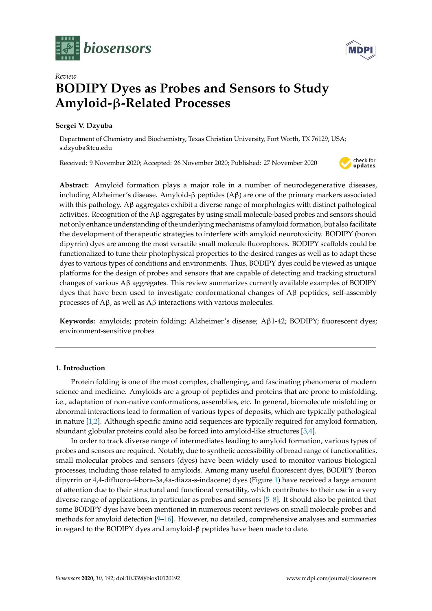



# *Review* **BODIPY Dyes as Probes and Sensors to Study Amyloid-**β**-Related Processes**

# **Sergei V. Dzyuba**

Department of Chemistry and Biochemistry, Texas Christian University, Fort Worth, TX 76129, USA; s.dzyuba@tcu.edu

Received: 9 November 2020; Accepted: 26 November 2020; Published: 27 November 2020



**Abstract:** Amyloid formation plays a major role in a number of neurodegenerative diseases, including Alzheimer's disease. Amyloid-β peptides (Aβ) are one of the primary markers associated with this pathology. Aβ aggregates exhibit a diverse range of morphologies with distinct pathological activities. Recognition of the Aβ aggregates by using small molecule-based probes and sensors should not only enhance understanding of the underlying mechanisms of amyloid formation, but also facilitate the development of therapeutic strategies to interfere with amyloid neurotoxicity. BODIPY (boron dipyrrin) dyes are among the most versatile small molecule fluorophores. BODIPY scaffolds could be functionalized to tune their photophysical properties to the desired ranges as well as to adapt these dyes to various types of conditions and environments. Thus, BODIPY dyes could be viewed as unique platforms for the design of probes and sensors that are capable of detecting and tracking structural changes of various Aβ aggregates. This review summarizes currently available examples of BODIPY dyes that have been used to investigate conformational changes of  $Aβ$  peptides, self-assembly processes of Aβ, as well as Aβ interactions with various molecules.

**Keywords:** amyloids; protein folding; Alzheimer's disease; Aβ1-42; BODIPY; fluorescent dyes; environment-sensitive probes

# **1. Introduction**

Protein folding is one of the most complex, challenging, and fascinating phenomena of modern science and medicine. Amyloids are a group of peptides and proteins that are prone to misfolding, i.e., adaptation of non-native conformations, assemblies, etc. In general, biomolecule misfolding or abnormal interactions lead to formation of various types of deposits, which are typically pathological in nature [1,2]. Although specific amino acid sequences are typically required for amyloid formation, abundant globular proteins could also be forced into amyloid-like structures [3,4].

In order to track diverse range of intermediates leading to amyloid formation, various types of probes and sensors are required. Notably, due to synthetic accessibility of broad range of functionalities, small molecular probes and sensors (dyes) have been widely used to monitor various biological processes, including those related to amyloids. Among many useful fluorescent dyes, BODIPY (boron dipyrrin or 4,4-difluoro-4-bora-3a,4a-diaza-s-indacene) dyes (Figure 1) have received a large amount of attention due to their structural and functional versatility, which contributes to their use in a very diverse range of applications, in particular as probes and sensors [5–8]. It should also be pointed that some BODIPY dyes have been mentioned in numerous recent reviews on small molecule probes and methods for amyloid detection [9–16]. However, no detailed, comprehensive analyses and summaries in regard to the BODIPY dyes and amyloid-β peptides have been made to date.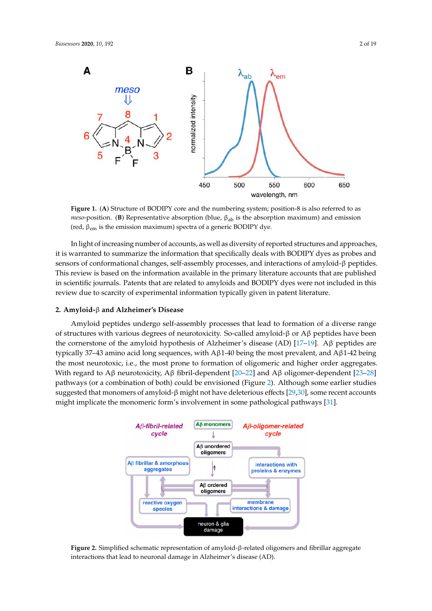

Figure 1. (A) Structure of BODIPY core and the numbering system; position-8 is also referred to as *meso*-position. (**B**) Representative absorption (blue, βab is the absorption maximum) and emission *meso*-position. (**B**) Representative absorption (blue, βab is the absorption maximum) and emission (red, βem is the emission maximum) spectra of a generic BODIPY dye. (red, βem is the emission maximum) spectra of a generic BODIPY dye.

In light of increasing number of accounts, as well as diversity of reported structures and In light of increasing number of accounts, as well as diversity of reported structures and approaches,  $\sigma$  is under the information that specifically dependent that specifically dependent  $\frac{1}{\sigma}$ it is warranted to summarize the information that specifically deals with BODIPY dyes as probes and sensors of conformational changes, self-assembly processes, and interactions of amyloid-β peptides. This review is based on the information available in the primary literature accounts that are published in scientific journals. Patents that are related to amyloids and BODIPY dyes were not included in this review due to scarcity of experimental information typically given in patent literature.

# **2. Amyloid-β and Alzheimer's Disease 2. Amyloid-**β **and Alzheimer's Disease**

Amyloid peptides undergo self-assembly processes that lead to formation of a diverse range of Amyloid peptides undergo self-assembly processes that lead to formation of a diverse range of structures with various degrees of neurotoxicity. So-called amyloid-β or Aβ peptides have been the cornerstone of the amyloid hypothesis of Alzheimer's disease (AD) [\[17](#page-14-0)[–19\]](#page-14-1). Aβ peptides are typically 37–43 amino acid long sequences, with Aβ1-40 being the most prevalent, and Aβ1-42 being the most neurotoxic, i.e., the most prone to formation of oligomeric and higher order aggregates. pathways (or a compiled be environmental beheavenly be entitled (Figure 2). Although some earlier studies of  $\frac{1}{2}$ . With regard to Aβ neurotoxicity, Aβ fibril-dependent [\[20](#page-14-2)[–22\]](#page-14-3) and Aβ oligomer-dependent [\[23](#page-14-4)[–28\]](#page-15-0) pathways (or a combination of both) could be envisioned (Figure [2\)](#page-1-0). Although some earlier studies suggested that monomers of amyloid-β might not have deleterious effects [\[29](#page-15-1)[,30\]](#page-15-2), some recent accounts might implicate the monomeric form's involvement in some pathological pathways [\[31\]](#page-15-3).

<span id="page-1-0"></span>

**Figure 2.** Simplified schematic representation of amyloid-β-related oligomers and fibrillar aggregate **Figure 2.** Simplified schematic representation of amyloid-β-related oligomers and fibrillar aggregate *General Comments on the Preparation of Aβ Monomers, Oligomers, and Fibrils*  interactions that lead to neuronal damage in Alzheimer's disease (AD).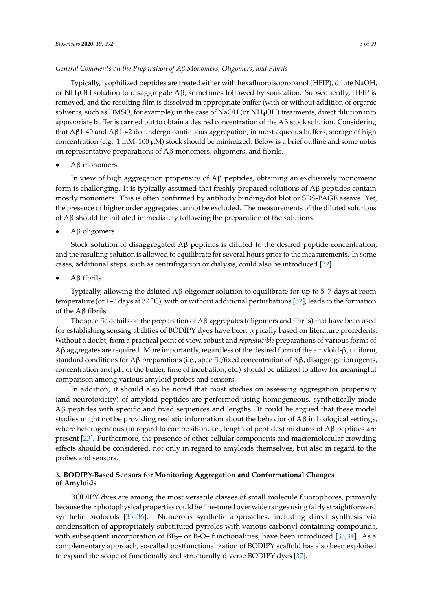#### *General Comments on the Preparation of A*β *Monomers, Oligomers, and Fibrils*

Typically, lyophilized peptides are treated either with hexafluoroisopropanol (HFIP), dilute NaOH, or NH<sub>4</sub>OH solution to disaggregate  $\mathbf{A}\beta$ , sometimes followed by sonication. Subsequently, HFIP is removed, and the resulting film is dissolved in appropriate buffer (with or without addition of organic solvents, such as DMSO, for example); in the case of NaOH (or NH4OH) treatments, direct dilution into appropriate buffer is carried out to obtain a desired concentration of the  $\mathbf{A}\beta$  stock solution. Considering that Aβ1-40 and Aβ1-42 do undergo continuous aggregation, in most aqueous buffers, storage of high concentration (e.g., 1 mM–100  $\mu$ M) stock should be minimized. Below is a brief outline and some notes on representative preparations of Aβ monomers, oligomers, and fibrils.

#### Aβ monomers

In view of high aggregation propensity of Aβ peptides, obtaining an exclusively monomeric form is challenging. It is typically assumed that freshly prepared solutions of  $A\beta$  peptides contain mostly monomers. This is often confirmed by antibody binding/dot blot or SDS-PAGE assays. Yet, the presence of higher order aggregates cannot be excluded. The measurements of the diluted solutions of Aβ should be initiated immediately following the preparation of the solutions.

• Aβ oligomers

Stock solution of disaggregated  $A\beta$  peptides is diluted to the desired peptide concentration, and the resulting solution is allowed to equilibrate for several hours prior to the measurements. In some cases, additional steps, such as centrifugation or dialysis, could also be introduced [\[32\]](#page-15-4).

 $Aβ$  fibrils

Typically, allowing the diluted Aβ oligomer solution to equilibrate for up to 5–7 days at room temperature (or 1–2 days at 37 ◦C), with or without additional perturbations [\[32\]](#page-15-4), leads to the formation of the Aβ fibrils.

The specific details on the preparation of Aβ aggregates (oligomers and fibrils) that have been used for establishing sensing abilities of BODIPY dyes have been typically based on literature precedents. Without a doubt, from a practical point of view, robust and *reproducible* preparations of various forms of Aβ aggregates are required. More importantly, regardless of the desired form of the amyloid-β, uniform, standard conditions for Aβ preparations (i.e., specific/fixed concentration of Aβ, disaggregation agents, concentration and pH of the buffer, time of incubation, etc.) should be utilized to allow for meaningful comparison among various amyloid probes and sensors.

In addition, it should also be noted that most studies on assessing aggregation propensity (and neurotoxicity) of amyloid peptides are performed using homogeneous, synthetically made  $A\beta$  peptides with specific and fixed sequences and lengths. It could be argued that these model studies might not be providing realistic information about the behavior of  $A\beta$  in biological settings, where heterogeneous (in regard to composition, i.e., length of peptides) mixtures of  $\Lambda$ β peptides are present [\[23\]](#page-14-4). Furthermore, the presence of other cellular components and macromolecular crowding effects should be considered, not only in regard to amyloids themselves, but also in regard to the probes and sensors.

# **3. BODIPY-Based Sensors for Monitoring Aggregation and Conformational Changes of Amyloids**

BODIPY dyes are among the most versatile classes of small molecule fluorophores, primarily because their photophysical properties could be fine-tuned over wide ranges using fairly straightforward synthetic protocols [\[33](#page-15-5)[–36\]](#page-15-6). Numerous synthetic approaches, including direct synthesis via condensation of appropriately substituted pyrroles with various carbonyl-containing compounds, with subsequent incorporation of  $BF<sub>2</sub>$  – or B-O– functionalities, have been introduced [\[33,](#page-15-5)[34\]](#page-15-7). As a complementary approach, so-called postfunctionalization of BODIPY scaffold has also been exploited to expand the scope of functionally and structurally diverse BODIPY dyes [\[37\]](#page-15-8).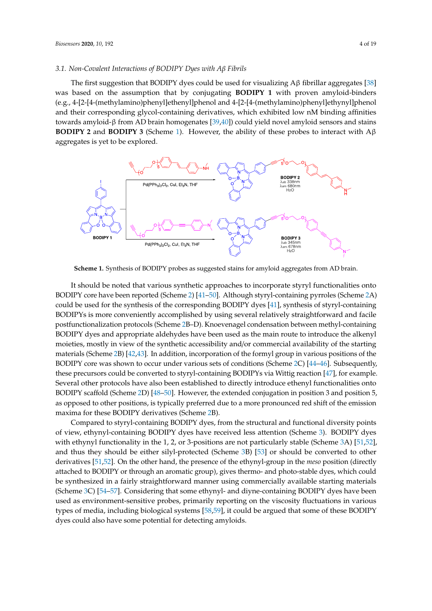#### 3.1. Non-Covalent Interactions of BODIPY Dyes with Aβ Fibrils

The first suggestion that BODIPY dyes could be used for visualizing Aβ fibrillar aggregates [\[38\]](#page-15-9) *3.1. Non-Covalent Interactions of BODIPY Dyes with Aβ Fibrils*  was based on the assumption that by conjugating **BODIPY 1** with proven amyloid-binders (e.g., 4-[2-[4-(methylamino)phenyl]ethenyl]phenol and 4-[2-[4-(methylamino)phenyl]ethynyl]phenol was based on the assumption that by conjugating **BODIPY 1** with proven amyloid-binders (e.g., and their corresponding glycol-containing derivatives, which exhibited low nM binding affinities towards amyloid-β from AD brain homogenates [\[39,](#page-15-10)[40\]](#page-15-11)) could yield novel amyloid sensors and stains **BODIPY 2** and **BODIPY 3** (Scheme [1\)](#page-3-0). However, the ability of these probes to interact with Aβ aggregates is yet to be explored. aggregates is yet to be explored. stating **BODIPY 3** (Scheme 1). However, the ability of the ability of the ability of the ability of the ability of the ability of the ability of the ability of the ability of the ability of the ability of the ability of th

<span id="page-3-0"></span>

**Scheme 1.** Synthesis of BODIPY probes as suggested stains for amyloid aggregates from AD brain. **Scheme 1.** Synthesis of BODIPY probes as suggested stains for amyloid aggregates from AD brain.

 $\mathbf{I}$  should be noted that various synthetic approaches to incorporate styryl functionalities It should be noted that various synthetic approaches to incorporate styryl functionalities onto<br>In second be noted that various synthetic approaches to incorporate styryl functionalities onto BODIPY core have been reported (Scheme [2\)](#page-4-0) [\[41](#page-15-12)[–50\]](#page-15-13). Although styryl-containing pyrroles (Scheme [2A](#page-4-0)) could be used for the synthesis of the corresponding  $\rm BODIPY$  dyes [\[41\]](#page-15-12), synthesis of styryl-containing BODIPYs is more conveniently accomplished by using several relatively straightforward and facile postfunctionalization protocols (Scheme 2B–D). Knoevenagel condensation between methyl-contai[nin](#page-4-0)g BODIPY dyes and appropriate aldehydes have been used as the main route to introduce the alkenyl moieties, mostly in view of the synthetic accessibility and/or commercial availability of the starting materials (Scheme [2B](#page-4-0)) [\[42,](#page-15-14)[43\]](#page-15-15). In addition, incorporation of the formyl group in various positions of the BODIPY core was shown to occur under various sets of conditions (Scheme [2C](#page-4-0)) [\[44](#page-15-16)[–46\]](#page-15-17). Subsequently, these precursors could be converted to styryl-containing BODIPYs via Wittig reaction [\[47\]](#page-15-18), for example. Several other protocols have also been established to directly introduce ethenyl functionalities onto BODIPY scaffold (Scheme [2D](#page-4-0)) [\[48](#page-15-19)[–50\]](#page-15-13). However, the extended conjugation in position 3 and position 5, as opposed to other positions, is typically preferred due to a more pronounced red shift of the emission maxima for these BODIPY derivatives (Scheme [2B](#page-4-0)).

Compared to styryl-containing BODIPY dyes, from the structural and functional diversity points of view, ethynyl-containing BODIPY dyes have received less attention (Scheme [3\)](#page-4-1). BODIPY dyes with ethynyl functionality in the 1, 2, or 3-positions are not particularly stable (Scheme [3A](#page-4-1)) [\[51,](#page-15-20)[52\]](#page-16-0), and thus they should be either silyl-protected (Scheme [3B](#page-4-1)) [\[53\]](#page-16-1) or should be converted to other derivatives [\[51,](#page-15-20)[52\]](#page-16-0). On the other hand, the presence of the ethynyl-group in the *meso* position (directly attached to BODIPY or through an aromatic group), gives thermo- and photo-stable dyes, which could be synthesized in a fairly straightforward manner using commercially available starting materials (Scheme [3C](#page-4-1)) [\[54](#page-16-2)[–57\]](#page-16-3). Considering that some ethynyl- and diyne-containing BODIPY dyes have been used as environment-sensitive probes, primarily reporting on the viscosity fluctuations in various types of media, including biological systems [\[58](#page-16-4)[,59\]](#page-16-5), it could be argued that some of these BODIPY dyes could also have some potential for detecting amyloids.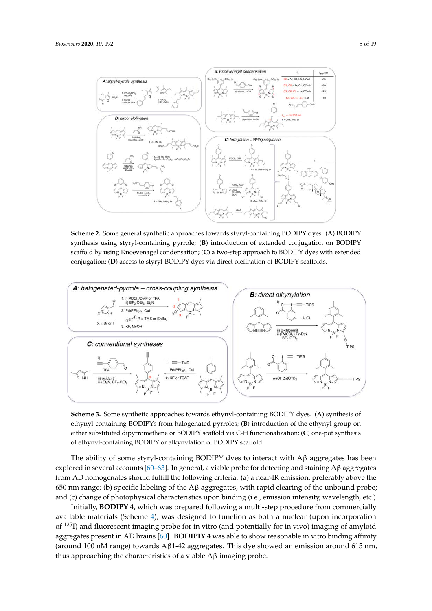<span id="page-4-0"></span>**B**: Knoevenagel condensation e  $C1, C5, C7$ A: styryl-pyrrole synthesis  $C3, C5 = Ar.C1, C7 = b$ aio  $23 C5 C1 - Ar C2 - h$  $683$  $C3, C5, C1, C7 = A$  $\overline{1}$ D: direct olefinati R = 0M NO. 8  $C$ : formylation + Wittig sequence

**Scheme 2.** Some general synthetic approaches towards styryl-containing BODIPY dyes. (**A**) BODIPY **Scheme 2.** Some general synthetic approaches towards styryl-containing BODIPY dyes. (**A**) BODIPY synthesis using styryl-containing pyrrole; (**B**) introduction of extended conjugation on BODIPY synthesis using styryl-containing pyrrole; (**B**) introduction of extended conjugation on BODIPY scaffold by using Knoevenagel condensation; (**C**) a two-step approach to BODIPY dyes with extended conjugation; (**D**) access to styryl-BODIPY dyes via direct olefination of BODIPY scaffolds.

<span id="page-4-1"></span>

**Scheme 3.** Some synthetic approaches towards ethynyl-containing BODIPY dyes. (**A**) synthesis of **Scheme 3.** Some synthetic approaches towards ethynyl-containing BODIPY dyes. (**A**) synthesis of ethynyl-containing BODIPYs from halogenated pyrroles; (**B**) introduction of the ethynyl group on ethynyl-containing BODIPYs from halogenated pyrroles; (**B**) introduction of the ethynyl group on either substituted dipyrromethene or BODIPY scaffold via C-H functionalization; (**C**) one-pot either substituted dipyrromethene or BODIPY scaffold via C-H functionalization; (**C**) one-pot synthesis of ethynyl-containing BODIPY or alkynylation of BODIPY scaffold.

The ability of some styryl-containing BODIPY dyes to interact with Aβ aggregates has been The ability of some styryl-containing BODIPY dyes to interact with Aβ aggregates has been explored in several accounts [\[60](#page-16-6)[–63\]](#page-16-7). In general, a viable probe for detecting and staining Aβ aggregates aggregates from AD homogenates should fulfill the following criteria: (a) a near-IR emission, from AD homogenates should fulfill the following criteria: (a) a near-IR emission, preferably above the preferably above the 650 nm range; (b) specific labeling of the Aβ aggregates, with rapid clearing of 650 nm range; (b) specific labeling of the Aβ aggregates, with rapid clearing of the unbound probe; and (c) change of photophysical characteristics upon binding (i.e., emission intensity, wavelength, etc.).

Initially, **BODIPY 4**, which was prepared following a multi-step procedure from commercially available materials (Scheme [4\)](#page-5-0), was designed to function as both a nuclear (upon incorporation of <sup>125</sup>I) and fluorescent imaging probe for in vitro (and potentially for in vivo) imaging of amyloid aggregates present in AD brains [\[60\]](#page-16-6). **BODIPIY 4** was able to show reasonable in vitro binding affinity (around 100 nM range) towards Aβ1-42 aggregates. This dye showed an emission around 615 nm, thus approaching the characteristics of a viable  $\mathcal{A}\beta$  imaging probe.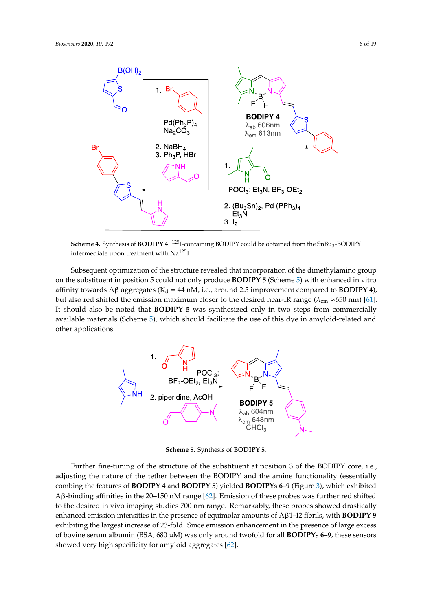<span id="page-5-0"></span>

**Scheme 4.** Synthesis of **BODIPY** 4. <sup>125</sup>I-containing BODIPY could be obtained from the SnBu<sub>3</sub>-BODIPY intermediate upon treatment with Na<sup>125</sup>I.

Subsequent optimization of the structure revealed that incorporation of the dimethylamino group Subsequent optimization of the structure revealed that incorporation of the dimethylamino on the substituent in position 5 could not only produce **BODIPY 5** (Scheme [5\)](#page-5-1) with enhanced in vitro affinity towards Aβ aggregates ( $K_d = 44$  nM, i.e., around 2.5 improvement compared to **BODIPY 4**), but also red shifted the emission maximum closer to the desired near-IR range ( $\lambda_{\rm em} \approx 650$  nm) [\[61\]](#page-16-8). It should also be noted that **BODIPY 5** was synthesized only in two steps from commercially available materials (Scheme [5\)](#page-5-1), which should facilitate the use of this dye in amyloid-related and other applications.

<span id="page-5-1"></span>

**Scheme 5.** Synthesis of **BODIPY 5**. **Scheme 5.** Synthesis of **BODIPY 5**.

Further fine-tuning of the structure of the substituent at position 3 of the BODIPY core, i.e., Further fine-tuning of the structure of the substituent at position 3 of the BODIPY core, i.e., adjusting the nature of the tether between the BODIPY and the amine functionality (essentially adjusting the nature of the tether between the BODIPY and the amine functionality (essentially combing the features of **BODIPY 4** and **BODIPY 5**) yielded **BODIPY**s 6-9 [\(F](#page-6-0)igure 3), which exhibited Aβ-binding affinities in the 20–150 nM range [\[62\]](#page-16-9). Emission of these probes was further red shifted to the desired in vivo imaging studies 700 nm range. Remarkably, these probes showed drastically enhanced emission intensities in the presence of equimolar amounts of Aβ1-42 fibrils, with **BODIPY 9** exhibiting the largest increase of 23-fold. Since emission enhancement in the presence of large excess of bovine serum albumin (BSA; 680 µM) was only around twofold for all **BODIPY**s 6–9, these sensors showed very high specificity for amyloid aggregates [\[62\]](#page-16-9).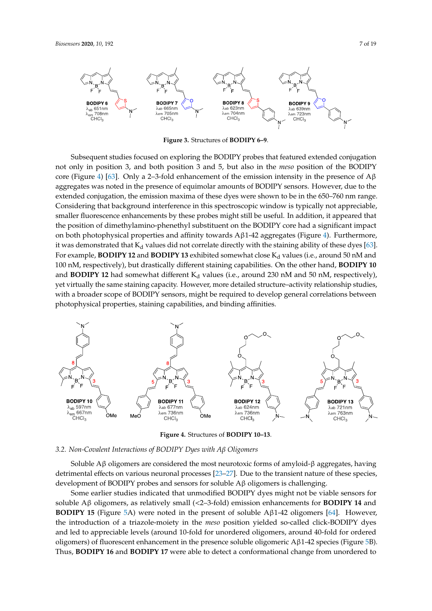<span id="page-6-0"></span>

**Figure 3.** Structures of **BODIPY 6**–**9**. **Figure 3.** Structures of **BODIPY 6–9**.

Subsequent studies focused on exploring the BODIPY probes that featured extended Subsequent studies focused on exploring the BODIPY probes that featured extended conjugation conjugation not only in position 3, and both position 3 and 5, but also in the *meso* position of the not only in position 3, and both position 3 and 5, but also in the *meso* position of the BODIPY core (Figure [4\)](#page-6-1) [\[63\]](#page-16-7). Only a 2–3-fold enhancement of the emission intensity in the presence of  $A\beta$ aggregates was noted in the presence of equimolar amounts of BODIPY sensors. However, due to the extended conjugation, the emission maxima of these dyes were shown to be in the 650–760 nm range. Considering that background interference in this spectroscopic window is typically not appreciable,  $\alpha$  appearing that the position of dimension of dimensional substitution  $\alpha$  and a core had a core had a core had a core had a core had a core had a core had a core had a core had a core had a core had a core had a core smaller fluorescence enhancements by these probes might still be useful. In addition, it appeared that the position of dimethylamino-phenethyl substituent on the BODIPY core had a significant impact on both photophysical properties and affinity towards Aβ1-42 aggregates (Figure 4). Furthermore, it was demonstrated that  $\rm K_d$  values did not correlate directly with the staining ability of these dyes [\[63\]](#page-16-7). For example, **BODIPY 12** and **BODIPY 13** exhibited somewhat close K<sub>d</sub> values (i.e., around 50 nM and 100 nM, respectively), but drastically different staining capabilities. On the other hand, **BODIPY 10** and **BODIPY 12** had somewhat different  $K_d$  values (i.e., around 230 nM and 50 nM, respectively), yet virtually the same staining capacity. However, more detailed structure–activity relationship studies, with a broader scope of BODIPY sensors, might be required to develop general correlations between photophysical properties, and binding capabilities, and binding capabilities, and binding capabilities, and binding capabili photophysical properties, staining capabilities, and binding affinities. affinities.  $\frac{1}{20}$  m,  $\frac{1}{20}$  m,  $\frac{1}{20}$  m,  $\frac{1}{20}$  m,  $\frac{1}{20}$  more detailed capacity. However, more detailed capacity. However,  $\frac{1}{20}$ structure activity relationship studies, with a broader studies of BODIPY sensors, more detailed structure detailed sensors,

<span id="page-6-1"></span>

**Figure 4.** Structures of **BODIPY 10**–**13**. **Figure 4.** Structures of **BODIPY 10–13**.

# *3.2. Non-Covalent Interactions of BODIPY Dyes with Aβ Oligomers 3.2. Non-Covalent Interactions of BODIPY Dyes with A*β *Oligomers*

Soluble Aβ oligomers are considered the most neurotoxic forms of amyloid-β aggregates, Soluble Aβ oligomers are considered the most neurotoxic forms of amyloid-β aggregates, having detrimental effects on various neuronal processes [\[23–](#page-14-4)[27\]](#page-14-5). Due to the transient nature of these species, development of BODIPY probes and sensors for soluble Aβ oligomers is challenging.

Some earlier studies indicated that unmodified BODIPY dyes might not be viable sensors for Some earlier studies indicated that unmodified BODIPY dyes might not be viable sensors for soluble Aβ oligomers, as relatively small (<2–3-fold) emission enhancements for **BODIPY 14** and soluble Aβ oligomers, as relatively small (<2–3-fold) emission enhancements for **BODIPY 14** and **BODIPY 15** (Figure [5A](#page-7-0)) were noted in the present of soluble Aβ1-42 oligomers [\[64\]](#page-16-10). However, the introduction of a triazole-moiety in the *meso* position yielded so-called click-BODIPY dyes and led to appreciable levels (around 10-fold for unordered oligomers, around 40-fold for ordered oligomers) of fluorescent enhancement in the presence soluble oligomeric Aβ1-42 species (Figure 5B). **BODIPY 16** and **BODIPY 17** were able to detect a conformational change from unordered to Thus, **BODIPY 16** and **BODIPY 17** were able to detect a conformational change from unordered to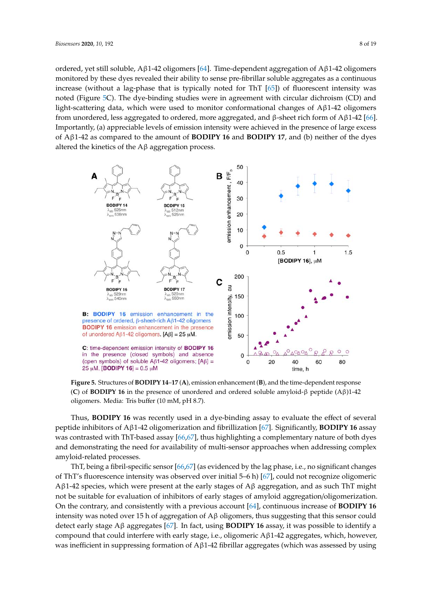ordered, yet still soluble, Aβ1-42 oligomers [\[64\]](#page-16-10). Time-dependent aggregation of Aβ1-42 oligomers monitored by these dyes revealed their ability to sense pre-fibrillar soluble aggregates as a continuous increase (without a lag-phase that is typically noted for ThT [\[65\]](#page-16-11)) of fluorescent intensity was noted (Figure [5C](#page-7-0)). The dye-binding studies were in agreement with circular dichroism (CD) and light-scattering data, which were used to monitor conformational changes of Aβ1-42 oligomers from unordered, less aggregated to ordered, more aggregated, and β-sheet rich form of Aβ1-42 [\[66\]](#page-16-12). Importantly, (a) appreciable levels of emission intensity were achieved in the presence of large excess of Aβ1-42 as compared to the amount of **BODIPY 16** and **BODIPY 17**, and (b) neither of the dyes altered the kinetics of the  $A\beta$  aggregation process.

<span id="page-7-0"></span>

Figure 5. Structures of BODIPY 14-17(A), emission enhancement (B), and the time-dependent response (C) of **BODIPY 16** in the presence of unordered and ordered soluble amyloid-β peptide (Aβ)1-42 (Aβ)1-42 oligomers. Media: Tris buffer (10 mM, pH 8.7). oligomers. Media: Tris buffer (10 mM, pH 8.7).

Thus, **BODIPY 16** was recently used in a dye-binding assay to evaluate the effect of several Thus, **BODIPY 16** was recently used in a dye-binding assay to evaluate the effect of several peptide inhibitors of Aβ1-42 oligomerization and fibrillization [\[67\]](#page-16-13). Significantly, **BODIPY 16** assay was contrasted with ThT-based assay [\[66](#page-16-12)[,67\]](#page-16-13), thus highlighting a complementary nature of both dyes and demonstrating the need for availability of multi-sensor approaches when addressing complex amyloid-related processes.

 $\mathbf{r}_1$  changes of The Theory in initial  $\mathbf{r}_1$  in the recognized over initial  $\mathbf{r}_2$ ThT, being a fibril-specific sensor [\[66](#page-16-12)[,67\]](#page-16-13) (as evidenced by the lag phase, i.e., no significant changes of ThT's fluorescence intensity was observed over initial 5–6 h) [\[67\]](#page-16-13), could not recognize oligomeric Aβ1-42 species, which were present at the early stages of Aβ aggregation, and as such ThT might not be suitable for evaluation of inhibitors of early stages of amyloid aggregation/oligomerization. On the contrary, and consistently with a previous account [\[64\]](#page-16-10), continuous increase of **BODIPY 16** intensity was noted over 15 h of aggregation of Aβ oligomers, thus suggesting that this sensor could  $\frac{1}{2}$  mas however of the H or appropriate of  $\frac{1}{2}$  for  $\frac{1}{2}$  fibrical formation of  $\frac{1}{2}$ detect early stage Aβ aggregates [\[67\]](#page-16-13). In fact, using **BODIPY 16** assay, it was possible to identify a compound that could interfere with early stage, i.e., oligomeric Aβ1-42 aggregates, which, however, was inefficient in suppressing formation of Aβ1-42 fibrillar aggregates (which was assessed by using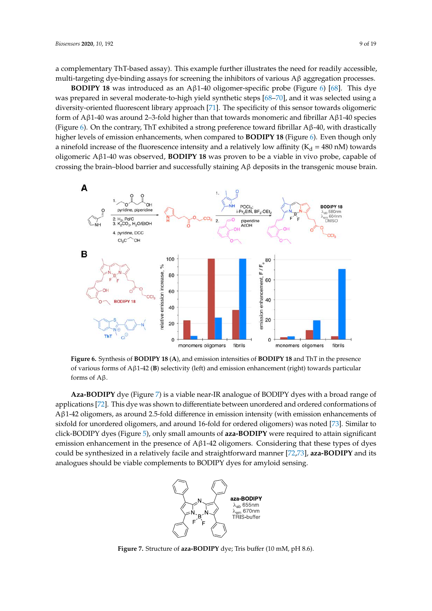a complementary ThT-based assay). This example further illustrates the need for readily accessible, multi-targeting dye-binding assays for screening the inhibitors of various  $A\beta$  aggregation processes.

**BODIPY 18** was introduced as an  $\mathbf{A}\beta1-40$  oligomer-specific probe (Figure [6\)](#page-8-0) [\[68\]](#page-16-14). This dye was prepared in several moderate-to-high yield synthetic steps [\[68–](#page-16-14)[70\]](#page-16-15), and it was selected using a diversity-oriented fluorescent library approach [\[71\]](#page-16-16). The specificity of this sensor towards oligomeric form of Aβ1-40 was around 2–3-fold higher than that towards monomeric and fibrillar Aβ1-40 species (Figure [6\)](#page-8-0). On the contrary, ThT exhibited a strong preference toward fibrillar Aβ-40, with drastically higher levels of emission enhancements, when compared to **BODIPY 18** (Figure [6\)](#page-8-0). Even though only a ninefold increase of the fluorescence intensity and a relatively low affinity (K<sub>d</sub> = 480 nM) towards oligomeric Aβ1-40 was observed, **BODIPY 18** was proven to be a viable in vivo probe, capable of crossing the brain–blood barrier and successfully staining Aβ deposits in the transgenic mouse brain.  $\frac{1}{\sqrt{2}}$ 

<span id="page-8-0"></span>

Figure 6. Synthesis of BODIPY 18 (A), and emission intensities of BODIPY 18 and ThT in the presence of various forms of Aβ1-42 (**B**) selectivity (left) and emission enhancement (right) towards particular forms of  $Aβ$ .

<span id="page-8-1"></span>**Aza-BODIPY** dye (Figure 7) is a viable near-IR analogue of BODIPY dyes with a broad range of Aza-BODIPY dye (Figure [7\)](#page-8-1) is a viable near-IR analogue of BODIPY dyes with a broad range of applications [\[72\]](#page-17-0). This dye was shown to differentiate between unordered and ordered conformations of  $A\beta$ 1-42 oligomers, as around 2.5-fold difference in emission intensity (with emission enhancements of sixfold for unordered oligomers, and around 16-fold for ordered oligomers) was noted [\[73\]](#page-17-1). Similar to click-BODIPY dyes (Figure [5\)](#page-7-0), only small amounts of aza-BODIPY were required to attain significant  $\epsilon$  on the synthesized in a relatively system in a relatively facile and  $\epsilon$  of  $\epsilon$  and  $\epsilon$  facile and  $\epsilon$  facile and  $\epsilon$  facile and  $\epsilon$  facile and  $\epsilon$  facile and  $\epsilon$  facile and  $\epsilon$  facile and  $\epsilon$  facile and  $\$ emission enhancement in the presence of A $\beta$ 1-42 oligomers. Considering that these types of dyes could be synthesized in a relatively facile and straightforward manner [\[72,](#page-17-0)[73\]](#page-17-1), **aza-BODIPY** and its analogues should be viable complements to BODIPY dyes for amyloid sensing. r aye (Figure Z appliers, as around 2.9-joid universitie in emission intensity (while emission emia **ancement in the presence of Aβ1-42 ongomers. Considering that these ty** BODIPY dyes for amyloid sensing.



Figure 7. Structure of aza-BODIPY dye; Tris buffer (10 mM, pH 8.6).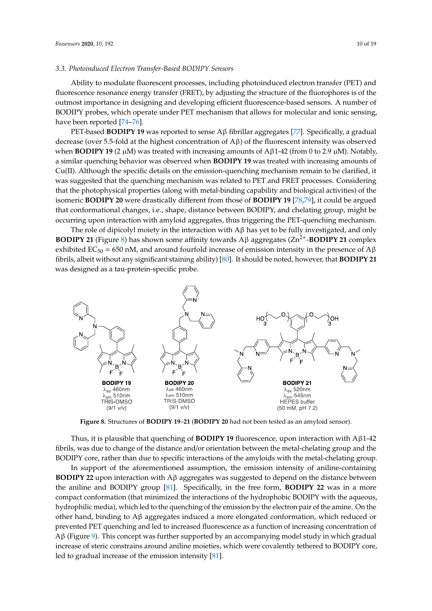#### *3.3. Photoinduced Electron Transfer-Based BODIPY Sensors*

Ability to modulate fluorescent processes, including photoinduced electron transfer (PET) and fluorescence resonance energy transfer (FRET), by adjusting the structure of the fluorophores is of the outmost importance in designing and developing efficient fluorescence-based sensors. A number of BODIPY probes, which operate under PET mechanism that allows for molecular and ionic sensing, have been reported  $[74–76]$  $[74–76]$ .

PET-based **BODIPY 19** was reported to sense Aβ fibrillar aggregates [\[77\]](#page-17-4). Specifically, a gradual decrease (over 5.5-fold at the highest concentration of Aβ) of the fluorescent intensity was observed when **BODIPY 19** (2 μM) was treated with increasing amounts of Aβ1-42 (from 0 to 2.9 μM). Notably, a similar quenching behavior was observed when **BODIPY 19** was treated with increasing amounts of Cu(II). Although the specific details on the emission-quenching mechanism remain to be clarified, it end in the specific details are the summer of the considering increasing and examination considering was suggested that the quenching mechanism was related to PET and FRET processes. Considering that the photophysical properties (along with metal-binding capability and biological activities) of the isomeric **BODIPY 20** were drastically different from those of **BODIPY 19** [\[78,](#page-17-5)[79\]](#page-17-6), it could be argued that conformational changes, i.e., shape, distance between BODIPY, and chelating group, might be occurring upon interaction with amyloid aggregates, thus triggering the PET-quenching mechanism. remain to be considered that the quenching mechanism was related to PET and FRET processes. Consider

The role of dipicolyl moiety in the interaction with  $A\beta$  has yet to be fully investigated, and only **BODIPY 21** (Figure [8\)](#page-9-0) has shown some affinity towards Aβ aggregates (Zn<sup>2+</sup>-**BODIPY 21** complex exhibited  $EC_{50} = 650$  nM, and around fourfold increase of emission intensity in the presence of Aβ fibrils, albeit without any significant staining ability) [\[80\]](#page-17-7). It should be noted, however, that **BODIPY 21** was designed as a tau-protein-specific probe. **21** was designed as a tau-protein-specific probe. fitting the state with state with state and ability) [80]. It should be noted, however, that **BODI**P

<span id="page-9-0"></span>

Figure 8. Structures of BODIPY 19-21 (BODIPY 20 had not been tested as an amyloid sensor).

Thus, it is plausible that quenching of **BODIPY 19** fluorescence, upon interaction with Aβ1-42 Thus, it is plausible that quenching of **BODIPY 19** fluorescence, upon interaction with Aβ1-42 fibrils, was due to change of the distance and/or orientation between the metal-chelating group and fibrils, was due to change of the distance and/or orientation between the metal-chelating group and the BODIPY core, rather than due to specific interactions of the amyloids with the metal-chelating group.

i<br>Groupe In support of the aforementioned assumption, the emission intensity of aniline-containing<br>
In support of the aforementioned assumption, the emission intensity of aniline-containing **BODIPY 22** upon interaction with Aβ aggregates was suggested to depend on the distance between **BODIPY 22** upon interaction with Aβ aggregates was suggested to depend on the distance between the aniline and BODIPY group [\[81\]](#page-17-8). Specifically, in the free form, **BODIPY 22** was in a more compact conformation (that minimized the interactions of the hydrophobic BODIPY with the aqueous, hydrophilic media), which led to the quenching of the emission by the electron pair of the amine. On hydrophilic media), which led to the quenching of the emission by the electron pair of the amine. On the other hand, binding to Aβ aggregates induced a more elongated conformation, which reduced or prevented PET quenching and led to increased fluorescence as a function of increasing concentration prevented PET quenching and led to increased fluorescence as a function of increasing concentration of of Aβ (Figure 9). This concept was further supported by an accompanying model study in which Aβ (Figure [9\)](#page-10-0). This concept was further supported by an accompanying model study in which gradual increase of steric constrains around aniline moieties, which were covalently tethered to BODIPY core, led to gradual increase of the emission intensity [\[81\]](#page-17-8).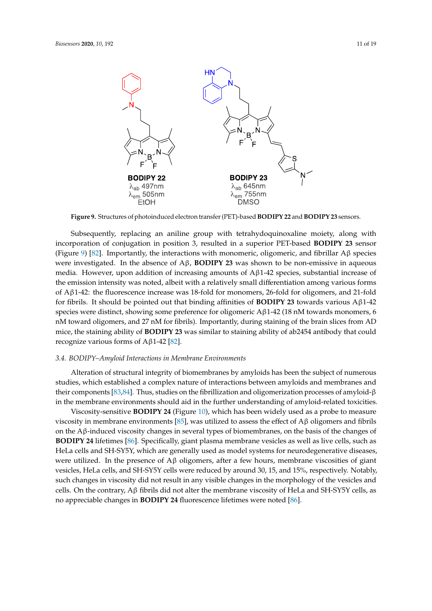<span id="page-10-0"></span>

Figure 9. Structures of photoinduced electron transfer (PET)-based BODIPY 22 and BODIPY 23 sensors.

incorporation of conjugation in position 3, resulted in a superior PET-based **BODIPY 23** sensor (Figure 9) [\[82\]](#page-17-9). Importantly, the interactions with monomeric, oligomeric, and fibrillar Aβ species were investigated. In the absence of Aβ, **BODIPY 23** was shown to be non-emissive in aqueous media. However, upon addition of increasing amounts of Aβ1-42 species, substantial increase of the emission intensity was noted, albeit with a relatively small differentiation among various forms of Aβ1-42: the fluorescence increase was 18-fold for monomers, 26-fold for oligomers, and 21-fold for fibrils. It should be pointed out that binding affinities of **BODIPY 23** towards various Aβ1-42 species were distinct, showing some preference for oligomeric Aβ1-42 (18 nM towards monomers, 6 nM toward oligomers, and 27 nM for fibrils). Importantly, during staining of the brain slices from AD mice, the staining ability of **BODIPY 23** was similar to staining ability of ab2454 antibody that could recognize various forms of Aβ1-42 [\[82\]](#page-17-9). Subsequently, replacing an aniline group with tetrahydoquinoxaline moiety, along with

#### recognize various forms of Aβ1-42 [82]. *3.4. BODIPY–Amyloid Interactions in Membrane Environments*

Alteration of structural integrity of biomembranes by amyloids has been the subject of numerous studies, which established a complex nature of interactions between amyloids and membranes and their components [\[83,](#page-17-10)[84\]](#page-17-11). Thus, studies on the fibrillization and oligomerization processes of amyloid-β in the membrane environments should aid in the further understanding of amyloid-related toxicities.

Viscosity-sensitive **BODIPY 24** (Figure [10\)](#page-11-0), which has been widely used as a probe to measure viscosity in membrane environments [\[85\]](#page-17-12), was utilized to assess the effect of Aβ oligomers and fibrils on the Aβ-induced viscosity changes in several types of biomembranes, on the basis of the changes of **BODIPY 24** lifetimes [\[86\]](#page-17-13). Specifically, giant plasma membrane vesicles as well as live cells, such as HeLa cells and SH-SY5Y, which are generally used as model systems for neurodegenerative diseases, were utilized. In the presence of Aβ oligomers, after a few hours, membrane viscosities of giant vesicles, HeLa cells, and SH-SY5Y cells were reduced by around 30, 15, and 15%, respectively. Notably,  $\,$ such changes in viscosity did not result in any visible changes in the morphology of the vesicles and cells. On the contrary, Aβ fibrils did not alter the membrane viscosity of HeLa and SH-SY5Y cells, as no appreciable changes in **BODIPY 24** fluorescence lifetimes were noted [\[86\]](#page-17-13).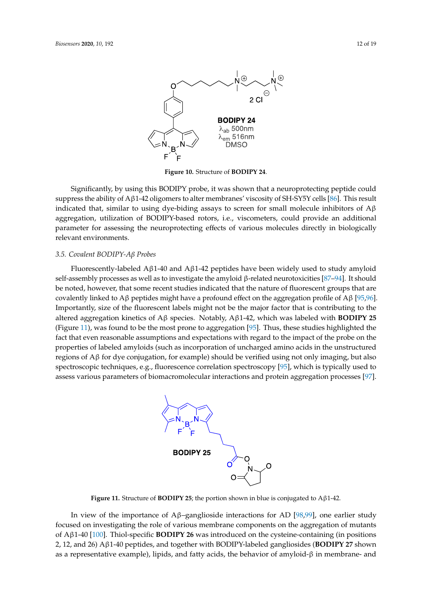

 $\lambda_{ab}$  500nm 516nm  $\lambda_{\sf em}$ **DMSO** 

**BODIPY 24** 

**Figure 10.** Structure of **BODIPY 24**. **Figure 10.** Structure of **BODIPY 24**.**Figure 10.** Structure of **BODIPY 24**.

<span id="page-11-0"></span>Significantly, by using this BODIPY probe, it was shown that a neuroprotecting peptide could suppress the ability of Aβ1-42 oligomers to alter membranes' viscosity of SH-SY5Y cells [\[86\]](#page-17-13). This result indicated that, similar to using dye-biding assays to screen for small molecule inhibitors of  $A\beta$ aggregation, utilization of BODIPY-based rotors, i.e., viscometers, could provide an additional parameter for assessing the neuroprotecting effects of various molecules directly in biologically relevant environments. relevant environments.

#### *3.5. Covalent BODIPY-Aβ Probes 3.5. Covalent BODIPY-A*β *Probes 3.5. Covalent BODIPY-Aβ Probes*

Fluorescently-labeled A $\beta$ 1-40 and A $\beta$ 1-42 peptides have been widely used to study amyloid self-assembly processes as well as to investigate the amyloid  $\beta$ -related neurotoxicities [\[87](#page-17-14)[–94\]](#page-18-0). It should be noted, however, that some recent studies indicated that the nature of fluorescent groups that are covalently linked to  $\mathbf{A}\beta$  peptides might have a profound effect on the aggregation profile of  $\mathbf{A}\beta$  [\[95](#page-18-1)[,96\]](#page-18-2). Importantly, size of the fluorescent labels might not be the major factor that is contributing to the altered aggregation kinetics of  $A\beta$  species. Notably,  $A\beta$ 1-42, which was labeled with **BODIPY 25** (Figure [11\)](#page-11-1), was found to be the most prone to aggregation [\[95\]](#page-18-1). Thus, these studies highlighted the fact that even reasonable assumptions and expectations with regard to the impact of the probe on the properties of labeled amyloids (such as incorporation of uncharged amino acids in the unstructured regions of  $A\beta$  for dye conjugation, for example) should be verified using not only imaging, but also spectroscopic techniques, e.g., fluorescence correlation spectroscopy [\[95\]](#page-18-1), which is typically used to assess various parameters of biomacromolecular interactions and protein aggregation processes [\[97\]](#page-18-3). self-assembly processes as a to investigate the american process and amy amy long investigation in the among the among the among the among the among the among the among the among the among the among the among the among th

<span id="page-11-1"></span>

**Figure 11.** Structure of **BODIPY 25**; the portion shown in blue is conjugated to Aβ1-42. **Figure 11.** Structure of **BODIPY 25**; the portion shown in blue is conjugated to Aβ1-42.

focused on investigating the role of various membrane components on the aggregation of mutants of  $A\beta$ 1-40 [100]. Thiol-specific **BODIPY 26** was introduced on the cysteine-containing (in positions 2, 12, and 26)  $A\beta$ 1-40 peptides, and together with BODIPY-labeled gangliosides (**BODIPY 27** shown 2, 12, and 26) Aβ1-40 peptides, and together with BODIPY-labeled gangliosides (BODIPY 27 shown as a representative example), lipids, and fatty acids, the behavior of amyloid- $\beta$  in membrane- and In view of the importance of  $A\beta$ -ganglioside interactions for AD [\[98,](#page-18-4)[99\]](#page-18-5), one earlier study focused on investigating the role of various membrane components on the aggregation of mutants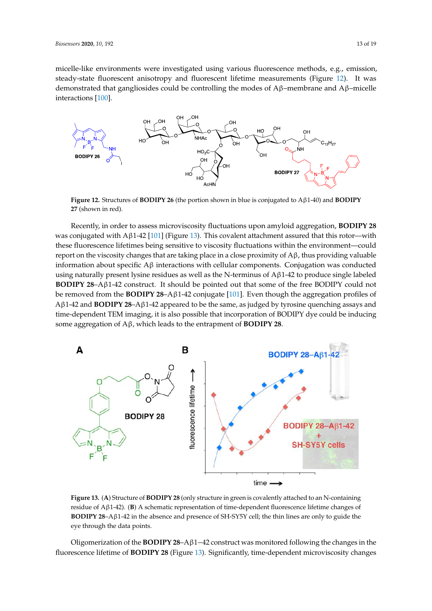*micelle-like environments were investigated using various fluorescence methods, e.g., emission,* steady-state fluorescent anisotropy and fluorescent lifetime measurements (Figure [12\)](#page-12-0). It was demonstrated that gangliosides could be controlling the modes of Aβ–membrane and Aβ–micelle interactions [\[100\]](#page-18-6). interactions [100].  $\frac{100}{8}$  $\frac{1}{200}$ 

<span id="page-12-0"></span>

**Figure 12.** Structures of **BODIPY 26** (the portion shown in blue is conjugated to Aβ1-40) and **Figure 12.** Structures of **BODIPY 26** (the portion shown in blue is conjugated to Aβ1-40) and **BODIPY 27** (shown in red).

Recently, in order to assess microviscosity fluctuations upon amyloid aggregation, **BODIPY 28** Recently, in order to assess microviscosity fluctuations upon amyloid aggregation, **BODIPY 28** was conjugated with A $\beta$ 1-42 [\[101\]](#page-18-7) (Figure [13\)](#page-12-1). This covalent attachment assured that this rotor—with rotor—with these fluorescence lifetimes being sensitive to viscosity fluctuations within the these fluorescence lifetimes being sensitive to viscosity fluctuations within the environment—could  $\epsilon$  report on the viscosity changes that are taking place in a close proximity of  $A\beta$ , thus providing valuable information about specific  $A\beta$  interactions with cellular components. Conjugation was conducted using naturally present lysine residues as well as the N-terminus of  $A\beta1-42$  to produce single labeled BODIPY 28-Aß1-42 construct. It should be pointed out that some of the free BODIPY could not be removed from the **BO[DIPY](#page-18-7) 28**-Aβ1-42 conjugate [101]. Even though the aggregation profiles of Aβ1-42 and **BODIPY 28-**Aβ1-42 appeared to be the same, as judged by tyrosine quenching assays and time-dependent TEM imaging, it is also possible that incorporation of BODIPY dye could be inducing some aggregation of Aβ, which leads to the entrapment of **BODIPY 28**. raciculations with the environment to viscosity fluctuations within the environment entrapment of **BODIPY 28**.

<span id="page-12-1"></span>

Figure 13. (A) Structure of BODIPY 28 (only structure in green is covalently attached to an N-containing residue of  $A\beta$ 1-42). (B) A schematic representation of time-dependent fluorescence lifetime changes of are only to guide the eye through the data points. The absence and presence and presence and presence and pres<br>In the absence and presence of SH-SY5Y cell; the thin lines of SH-SY5Y cell; the thin lines of SH-SY5Y cell; th eye through the data points. **BODIPY 28**–Aβ1-42 in the absence and presence of SH-SY5Y cell; the thin lines are only to guide the

the fluorescence lifetime of **BODIPY 28** (Figure 13). Significantly, time-dependent microviscosity Oligomerization of the **BODIPY 28**–Aβ1−42 construct was monitored following the changes in Oligomerization of the **BODIPY 28**-Aβ1−42 construct was monitored following the changes in the fluorescence lifetime of **BODIPY 28** (Figure [13\)](#page-12-1). Significantly, time-dependent microviscosity changes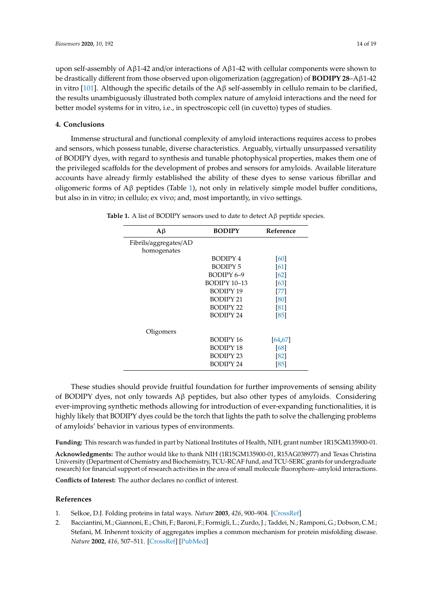upon self-assembly of Aβ1-42 and/or interactions of Aβ1-42 with cellular components were shown to be drastically different from those observed upon oligomerization (aggregation) of **BODIPY 28**–Aβ1-42 in vitro [\[101\]](#page-18-7). Although the specific details of the  $\text{A} \beta$  self-assembly in cellulo remain to be clarified, the results unambiguously illustrated both complex nature of amyloid interactions and the need for better model systems for in vitro, i.e., in spectroscopic cell (in cuvetto) types of studies.

#### **4. Conclusions**

Immense structural and functional complexity of amyloid interactions requires access to probes and sensors, which possess tunable, diverse characteristics. Arguably, virtually unsurpassed versatility of BODIPY dyes, with regard to synthesis and tunable photophysical properties, makes them one of the privileged scaffolds for the development of probes and sensors for amyloids. Available literature accounts have already firmly established the ability of these dyes to sense various fibrillar and oligomeric forms of Aβ peptides (Table [1\)](#page-13-0), not only in relatively simple model buffer conditions, but also in in vitro; in cellulo; ex vivo; and, most importantly, in vivo settings.

<span id="page-13-0"></span>**Table 1.** A list of BODIPY sensors used to date to detect Aβ peptide species.

| $A\beta$              | <b>BODIPY</b>       | Reference |
|-----------------------|---------------------|-----------|
| Fibrils/aggregates/AD |                     |           |
| homogenates           |                     |           |
|                       | BODIPY 4            | [60]      |
|                       | <b>BODIPY 5</b>     | [61]      |
|                       | BODIPY 6-9          | [62]      |
|                       | <b>BODIPY 10-13</b> | [63]      |
|                       | <b>BODIPY 19</b>    | [77]      |
|                       | <b>BODIPY 21</b>    | [80]      |
|                       | <b>BODIPY 22</b>    | [81]      |
|                       | <b>BODIPY 24</b>    | [85]      |
| Oligomers             |                     |           |
|                       | <b>BODIPY 16</b>    | [64, 67]  |
|                       | BODIPY 18           | [68]      |
|                       | <b>BODIPY 23</b>    | [82]      |
|                       | BODIPY 24           | [85]      |

These studies should provide fruitful foundation for further improvements of sensing ability of BODIPY dyes, not only towards Aβ peptides, but also other types of amyloids. Considering ever-improving synthetic methods allowing for introduction of ever-expanding functionalities, it is highly likely that BODIPY dyes could be the torch that lights the path to solve the challenging problems of amyloids' behavior in various types of environments.

**Funding:** This research was funded in part by National Institutes of Health, NIH, grant number 1R15GM135900-01.

**Acknowledgments:** The author would like to thank NIH (1R15GM135900-01, R15AG038977) and Texas Christina University (Department of Chemistry and Biochemistry, TCU-RCAF fund, and TCU-SERC grants for undergraduate research) for financial support of research activities in the area of small molecule fluorophore–amyloid interactions.

**Conflicts of Interest:** The author declares no conflict of interest.

#### **References**

- 1. Selkoe, D.J. Folding proteins in fatal ways. *Nature* **2003**, *426*, 900–904. [\[CrossRef\]](http://dx.doi.org/10.1038/nature02264)
- 2. Bacciantini, M.; Giannoni, E.; Chiti, F.; Baroni, F.; Formigli, L.; Zurdo, J.; Taddei, N.; Ramponi, G.; Dobson, C.M.; Stefani, M. Inherent toxicity of aggregates implies a common mechanism for protein misfolding disease. *Nature* **2002**, *416*, 507–511. [\[CrossRef\]](http://dx.doi.org/10.1038/416507a) [\[PubMed\]](http://www.ncbi.nlm.nih.gov/pubmed/11932737)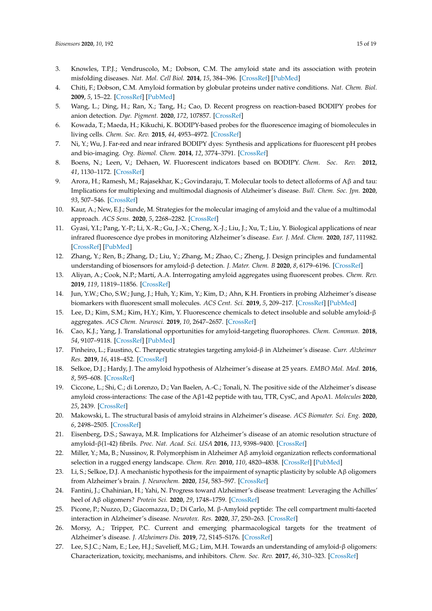- 3. Knowles, T.P.J.; Vendruscolo, M.; Dobson, C.M. The amyloid state and its association with protein misfolding diseases. *Nat. Mol. Cell Biol.* **2014**, *15*, 384–396. [\[CrossRef\]](http://dx.doi.org/10.1038/nrm3810) [\[PubMed\]](http://www.ncbi.nlm.nih.gov/pubmed/24854788)
- 4. Chiti, F.; Dobson, C.M. Amyloid formation by globular proteins under native conditions. *Nat. Chem. Biol.* **2009**, *5*, 15–22. [\[CrossRef\]](http://dx.doi.org/10.1038/nchembio.131) [\[PubMed\]](http://www.ncbi.nlm.nih.gov/pubmed/19088715)
- 5. Wang, L.; Ding, H.; Ran, X.; Tang, H.; Cao, D. Recent progress on reaction-based BODIPY probes for anion detection. *Dye. Pigment.* **2020**, *172*, 107857. [\[CrossRef\]](http://dx.doi.org/10.1016/j.dyepig.2019.107857)
- 6. Kowada, T.; Maeda, H.; Kikuchi, K. BODIPY-based probes for the fluorescence imaging of biomolecules in living cells. *Chem. Soc. Rev.* **2015**, *44*, 4953–4972. [\[CrossRef\]](http://dx.doi.org/10.1039/C5CS00030K)
- 7. Ni, Y.; Wu, J. Far-red and near infrared BODIPY dyes: Synthesis and applications for fluorescent pH probes and bio-imaging. *Org. Biomol. Chem.* **2014**, *12*, 3774–3791. [\[CrossRef\]](http://dx.doi.org/10.1039/c3ob42554a)
- 8. Boens, N.; Leen, V.; Dehaen, W. Fluorescent indicators based on BODIPY. *Chem. Soc. Rev.* **2012**, *41*, 1130–1172. [\[CrossRef\]](http://dx.doi.org/10.1039/C1CS15132K)
- 9. Arora, H.; Ramesh, M.; Rajasekhar, K.; Govindaraju, T. Molecular tools to detect alloforms of Aβ and tau: Implications for multiplexing and multimodal diagnosis of Alzheimer's disease. *Bull. Chem. Soc. Jpn.* **2020**, *93*, 507–546. [\[CrossRef\]](http://dx.doi.org/10.1246/bcsj.20190356)
- 10. Kaur, A.; New, E.J.; Sunde, M. Strategies for the molecular imaging of amyloid and the value of a multimodal approach. *ACS Sens.* **2020**, *5*, 2268–2282. [\[CrossRef\]](http://dx.doi.org/10.1021/acssensors.0c01101)
- 11. Gyasi, Y.I.; Pang, Y.-P.; Li, X.-R.; Gu, J.-X.; Cheng, X.-J.; Liu, J.; Xu, T.; Liu, Y. Biological applications of near infrared fluorescence dye probes in monitoring Alzheimer's disease. *Eur. J. Med. Chem.* **2020**, *187*, 111982. [\[CrossRef\]](http://dx.doi.org/10.1016/j.ejmech.2019.111982) [\[PubMed\]](http://www.ncbi.nlm.nih.gov/pubmed/31877538)
- 12. Zhang, Y.; Ren, B.; Zhang, D.; Liu, Y.; Zhang, M.; Zhao, C.; Zheng, J. Design principles and fundamental understanding of biosensors for amyloid-β detection. *J. Mater. Chem. B* **2020**, *8*, 6179–6196. [\[CrossRef\]](http://dx.doi.org/10.1039/D0TB00344A)
- 13. Aliyan, A.; Cook, N.P.; Martí, A.A. Interrogating amyloid aggregates using fluorescent probes. *Chem. Rev.* **2019**, *119*, 11819–11856. [\[CrossRef\]](http://dx.doi.org/10.1021/acs.chemrev.9b00404)
- 14. Jun, Y.W.; Cho, S.W.; Jung, J.; Huh, Y.; Kim, Y.; Kim, D.; Ahn, K.H. Frontiers in probing Alzheimer's disease biomarkers with fluorescent small molecules. *ACS Cent. Sci.* **2019**, *5*, 209–217. [\[CrossRef\]](http://dx.doi.org/10.1021/acscentsci.8b00951) [\[PubMed\]](http://www.ncbi.nlm.nih.gov/pubmed/30834309)
- 15. Lee, D.; Kim, S.M.; Kim, H.Y.; Kim, Y. Fluorescence chemicals to detect insoluble and soluble amyloid-β aggregates. *ACS Chem. Neurosci.* **2019**, *10*, 2647–2657. [\[CrossRef\]](http://dx.doi.org/10.1021/acschemneuro.9b00199)
- 16. Cao, K.J.; Yang, J. Translational opportunities for amyloid-targeting fluorophores. *Chem. Commun.* **2018**, *54*, 9107–9118. [\[CrossRef\]](http://dx.doi.org/10.1039/C8CC03619E) [\[PubMed\]](http://www.ncbi.nlm.nih.gov/pubmed/29993065)
- <span id="page-14-0"></span>17. Pinheiro, L.; Faustino, C. Therapeutic strategies targeting amyloid-β in Alzheimer's disease. *Curr. Alzheimer Res.* **2019**, *16*, 418–452. [\[CrossRef\]](http://dx.doi.org/10.2174/1567205016666190321163438)
- 18. Selkoe, D.J.; Hardy, J. The amyloid hypothesis of Alzheimer's disease at 25 years. *EMBO Mol. Med.* **2016**, *8*, 595–608. [\[CrossRef\]](http://dx.doi.org/10.15252/emmm.201606210)
- <span id="page-14-1"></span>19. Ciccone, L.; Shi, C.; di Lorenzo, D.; Van Baelen, A.-C.; Tonali, N. The positive side of the Alzheimer's disease amyloid cross-interactions: The case of the Aβ1-42 peptide with tau, TTR, CysC, and ApoA1. *Molecules* **2020**, *25*, 2439. [\[CrossRef\]](http://dx.doi.org/10.3390/molecules25102439)
- <span id="page-14-2"></span>20. Makowski, L. The structural basis of amyloid strains in Alzheimer's disease. *ACS Biomater. Sci. Eng.* **2020**, *6*, 2498–2505. [\[CrossRef\]](http://dx.doi.org/10.1021/acsbiomaterials.9b01302)
- 21. Eisenberg, D.S.; Sawaya, M.R. Implications for Alzheimer's disease of an atomic resolution structure of amyloid-β(1-42) fibrils. *Proc. Nat. Acad. Sci. USA* **2016**, *113*, 9398–9400. [\[CrossRef\]](http://dx.doi.org/10.1073/pnas.1610806113)
- <span id="page-14-3"></span>22. Miller, Y.; Ma, B.; Nussinov, R. Polymorphism in Alzheimer Aβ amyloid organization reflects conformational selection in a rugged energy landscape. *Chem. Rev.* **2010**, *110*, 4820–4838. [\[CrossRef\]](http://dx.doi.org/10.1021/cr900377t) [\[PubMed\]](http://www.ncbi.nlm.nih.gov/pubmed/20402519)
- <span id="page-14-4"></span>23. Li, S.; Selkoe, D.J. A mechanistic hypothesis for the impairment of synaptic plasticity by soluble Aβ oligomers from Alzheimer's brain. *J. Neurochem.* **2020**, *154*, 583–597. [\[CrossRef\]](http://dx.doi.org/10.1111/jnc.15007)
- 24. Fantini, J.; Chahinian, H.; Yahi, N. Progress toward Alzheimer's disease treatment: Leveraging the Achilles' heel of Aβ oligomers? *Protein Sci.* **2020**, *29*, 1748–1759. [\[CrossRef\]](http://dx.doi.org/10.1002/pro.3906)
- 25. Picone, P.; Nuzzo, D.; Giacomazza, D.; Di Carlo, M. β-Amyloid peptide: The cell compartment multi-faceted interaction in Alzheimer's disease. *Neurotox. Res.* **2020**, *37*, 250–263. [\[CrossRef\]](http://dx.doi.org/10.1007/s12640-019-00116-9)
- 26. Morsy, A.; Tripper, P.C. Current and emerging pharmacological targets for the treatment of Alzheimer's disease. *J. Alzheimers Dis.* **2019**, *72*, S145–S176. [\[CrossRef\]](http://dx.doi.org/10.3233/JAD-190744)
- <span id="page-14-5"></span>27. Lee, S.J.C.; Nam, E.; Lee, H.J.; Savelieff, M.G.; Lim, M.H. Towards an understanding of amyloid-β oligomers: Characterization, toxicity, mechanisms, and inhibitors. *Chem. Soc. Rev.* **2017**, *46*, 310–323. [\[CrossRef\]](http://dx.doi.org/10.1039/C6CS00731G)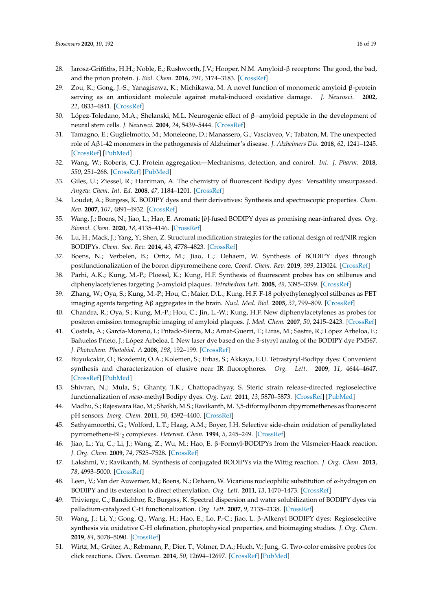- <span id="page-15-0"></span>28. Jarosz-Griffiths, H.H.; Noble, E.; Rushworth, J.V.; Hooper, N.M. Amyloid-β receptors: The good, the bad, and the prion protein. *J. Biol. Chem.* **2016**, *291*, 3174–3183. [\[CrossRef\]](http://dx.doi.org/10.1074/jbc.R115.702704)
- <span id="page-15-1"></span>29. Zou, K.; Gong, J.-S.; Yanagisawa, K.; Michikawa, M. A novel function of monomeric amyloid β-protein serving as an antioxidant molecule against metal-induced oxidative damage. *J. Neurosci.* **2002**, *22*, 4833–4841. [\[CrossRef\]](http://dx.doi.org/10.1523/JNEUROSCI.22-12-04833.2002)
- <span id="page-15-2"></span>30. López-Toledano, M.A.; Shelanski, M.L. Neurogenic effect of β−amyloid peptide in the development of neural stem cells. *J. Neurosci.* **2004**, *24*, 5439–5444. [\[CrossRef\]](http://dx.doi.org/10.1523/JNEUROSCI.0974-04.2004)
- <span id="page-15-3"></span>31. Tamagno, E.; Guglielmotto, M.; Moneleone, D.; Manassero, G.; Vasciaveo, V.; Tabaton, M. The unexpected role of Aβ1-42 monomers in the pathogenesis of Alzheimer's disease. *J. Alzheimers Dis.* **2018**, *62*, 1241–1245. [\[CrossRef\]](http://dx.doi.org/10.3233/JAD-170581) [\[PubMed\]](http://www.ncbi.nlm.nih.gov/pubmed/29103036)
- <span id="page-15-4"></span>32. Wang, W.; Roberts, C.J. Protein aggregation—Mechanisms, detection, and control. *Int. J. Pharm.* **2018**, *550*, 251–268. [\[CrossRef\]](http://dx.doi.org/10.1016/j.ijpharm.2018.08.043) [\[PubMed\]](http://www.ncbi.nlm.nih.gov/pubmed/30145245)
- <span id="page-15-5"></span>33. Giles, U.; Ziessel, R.; Harriman, A. The chemistry of fluorescent Bodipy dyes: Versatility unsurpassed. *Angew. Chem. Int. Ed.* **2008**, *47*, 1184–1201. [\[CrossRef\]](http://dx.doi.org/10.1002/anie.200702070)
- <span id="page-15-7"></span>34. Loudet, A.; Burgess, K. BODIPY dyes and their derivatives: Synthesis and spectroscopic properties. *Chem. Rev.* **2007**, *107*, 4891–4932. [\[CrossRef\]](http://dx.doi.org/10.1021/cr078381n)
- 35. Wang, J.; Boens, N.; Jiao, L.; Hao, E. Aromatic [*b*]-fused BODIPY dyes as promising near-infrared dyes. *Org. Biomol. Chem.* **2020**, *18*, 4135–4146. [\[CrossRef\]](http://dx.doi.org/10.1039/D0OB00790K)
- <span id="page-15-6"></span>36. Lu, H.; Mack, J.; Yang, Y.; Shen, Z. Structural modification strategies for the rational design of red/NIR region BODIPYs. *Chem. Soc. Rev.* **2014**, *43*, 4778–4823. [\[CrossRef\]](http://dx.doi.org/10.1039/C4CS00030G)
- <span id="page-15-8"></span>37. Boens, N.; Verbelen, B.; Ortiz, M.; Jiao, L.; Dehaem, W. Synthesis of BODIPY dyes through postfunctionalization of the boron dipyrromethene core. *Coord. Chem. Rev.* **2019**, *399*, 213024. [\[CrossRef\]](http://dx.doi.org/10.1016/j.ccr.2019.213024)
- <span id="page-15-9"></span>38. Parhi, A.K.; Kung, M.-P.; Ploessl, K.; Kung, H.F. Synthesis of fluorescent probes bas on stilbenes and diphenylacetylenes targeting β-amyloid plaques. *Tetrahedron Lett.* **2008**, *49*, 3395–3399. [\[CrossRef\]](http://dx.doi.org/10.1016/j.tetlet.2008.03.130)
- <span id="page-15-10"></span>39. Zhang, W.; Oya, S.; Kung, M.-P.; Hou, C.; Maier, D.L.; Kung, H.F. F-18 polyethyleneglycol stilbenes as PET imaging agents targeting Aβ aggregates in the brain. *Nucl. Med. Biol.* **2005**, *32*, 799–809. [\[CrossRef\]](http://dx.doi.org/10.1016/j.nucmedbio.2005.06.001)
- <span id="page-15-11"></span>40. Chandra, R.; Oya, S.; Kung, M.-P.; Hou, C.; Jin, L.-W.; Kung, H.F. New diphenylacetylenes as probes for positron emission tomographic imaging of amyloid plaques. *J. Med. Chem.* **2007**, *50*, 2415–2423. [\[CrossRef\]](http://dx.doi.org/10.1021/jm070090j)
- <span id="page-15-12"></span>41. Costela, A.; García-Moreno, I.; Pntado-Sierra, M.; Amat-Guerri, F.; Liras, M.; Sastre, R.; López Arbeloa, F.; Bañuelos Prieto, J.; López Arbeloa, I. New laser dye based on the 3-styryl analog of the BODIPY dye PM567. *J. Photochem. Photobiol. A* **2008**, *198*, 192–199. [\[CrossRef\]](http://dx.doi.org/10.1016/j.jphotochem.2008.03.010)
- <span id="page-15-14"></span>42. Buyukcakir, O.; Bozdemir, O.A.; Kolemen, S.; Erbas, S.; Akkaya, E.U. Tetrastyryl-Bodipy dyes: Convenient synthesis and characterization of elusive near IR fluorophores. *Org. Lett.* **2009**, *11*, 4644–4647. [\[CrossRef\]](http://dx.doi.org/10.1021/ol9019056) [\[PubMed\]](http://www.ncbi.nlm.nih.gov/pubmed/19757825)
- <span id="page-15-15"></span>43. Shivran, N.; Mula, S.; Ghanty, T.K.; Chattopadhyay, S. Steric strain release-directed regioselective functionalization of *meso-*methyl Bodipy dyes. *Org. Lett.* **2011**, *13*, 5870–5873. [\[CrossRef\]](http://dx.doi.org/10.1021/ol202490p) [\[PubMed\]](http://www.ncbi.nlm.nih.gov/pubmed/21992145)
- <span id="page-15-16"></span>44. Madhu, S.; Rajeswara Rao, M.; Shaikh, M.S.; Ravikanth, M. 3,5-diformylboron dipyrromethenes as fluorescent pH sensors. *Inorg. Chem.* **2011**, *50*, 4392–4400. [\[CrossRef\]](http://dx.doi.org/10.1021/ic102499h)
- 45. Sathyamoorthi, G.; Wolford, L.T.; Haag, A.M.; Boyer, J.H. Selective side-chain oxidation of peralkylated pyrromethene-BF<sup>2</sup> complexes. *Heteroat. Chem.* **1994**, *5*, 245–249. [\[CrossRef\]](http://dx.doi.org/10.1002/hc.520050309)
- <span id="page-15-17"></span>46. Jiao, L.; Yu, C.; Li, J.; Wang, Z.; Wu, M.; Hao, E. β-Formyl-BODIPYs from the Vilsmeier-Haack reaction. *J. Org. Chem.* **2009**, *74*, 7525–7528. [\[CrossRef\]](http://dx.doi.org/10.1021/jo901407h)
- <span id="page-15-18"></span>47. Lakshmi, V.; Ravikanth, M. Synthesis of conjugated BODIPYs via the Wittig reaction. *J. Org. Chem.* **2013**, *78*, 4993–5000. [\[CrossRef\]](http://dx.doi.org/10.1021/jo4006969)
- <span id="page-15-19"></span>48. Leen, V.; Van der Auweraer, M.; Boens, N.; Dehaen, W. Vicarious nucleophilic substitution of α-hydrogen on BODIPY and its extension to direct ethenylation. *Org. Lett.* **2011**, *13*, 1470–1473. [\[CrossRef\]](http://dx.doi.org/10.1021/ol200148u)
- 49. Thivierge, C.; Bandichhor, R.; Burgess, K. Spectral dispersion and water solubilization of BODIPY dyes via palladium-catalyzed C-H functionalization. *Org. Lett.* **2007**, *9*, 2135–2138. [\[CrossRef\]](http://dx.doi.org/10.1021/ol0706197)
- <span id="page-15-13"></span>50. Wang, J.; Li, Y.; Gong, Q.; Wang, H.; Hao, E.; Lo, P.-C.; Jiao, L. β-Alkenyl BODIPY dyes: Regioselective synthesis via oxidative C-H olefination, photophysical properties, and bioimaging studies. *J. Org. Chem.* **2019**, *84*, 5078–5090. [\[CrossRef\]](http://dx.doi.org/10.1021/acs.joc.9b00020)
- <span id="page-15-20"></span>51. Wirtz, M.; Grüter, A.; Rebmann, P.; Dier, T.; Volmer, D.A.; Huch, V.; Jung, G. Two-color emissive probes for click reactions. *Chem. Commun.* **2014**, *50*, 12694–12697. [\[CrossRef\]](http://dx.doi.org/10.1039/C4CC05288A) [\[PubMed\]](http://www.ncbi.nlm.nih.gov/pubmed/25200167)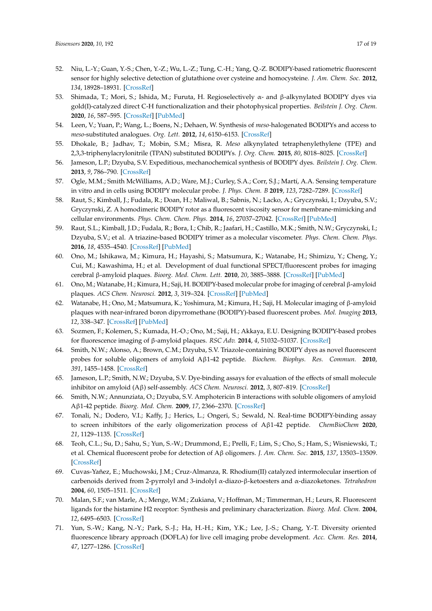- <span id="page-16-0"></span>52. Niu, L.-Y.; Guan, Y.-S.; Chen, Y.-Z.; Wu, L.-Z.; Tung, C.-H.; Yang, Q.-Z. BODIPY-based ratiometric fluorescent sensor for highly selective detection of glutathione over cysteine and homocysteine. *J. Am. Chem. Soc.* **2012**, *134*, 18928–18931. [\[CrossRef\]](http://dx.doi.org/10.1021/ja309079f)
- <span id="page-16-1"></span>53. Shimada, T.; Mori, S.; Ishida, M.; Furuta, H. Regioselectively α- and β-alkynylated BODIPY dyes via gold(I)-catalyzed direct C-H functionalization and their photophysical properties. *Beilstein J. Org. Chem.* **2020**, *16*, 587–595. [\[CrossRef\]](http://dx.doi.org/10.3762/bjoc.16.53) [\[PubMed\]](http://www.ncbi.nlm.nih.gov/pubmed/32280386)
- <span id="page-16-2"></span>54. Leen, V.; Yuan, P.; Wang, L.; Boens, N.; Dehaen, W. Synthesis of *meso-*halogenated BODIPYs and access to *meso*-substituted analogues. *Org. Lett.* **2012**, *14*, 6150–6153. [\[CrossRef\]](http://dx.doi.org/10.1021/ol3028225)
- 55. Dhokale, B.; Jadhav, T.; Mobin, S.M.; Misra, R. *Meso* alkynylated tetraphenylethylene (TPE) and 2,3,3-triphenylacrylonitrile (TPAN) substituted BODIPYs. *J. Org. Chem.* **2015**, *80*, 8018–8025. [\[CrossRef\]](http://dx.doi.org/10.1021/acs.joc.5b01117)
- 56. Jameson, L.P.; Dzyuba, S.V. Expeditious, mechanochemical synthesis of BODIPY dyes. *Beilstein J. Org. Chem.* **2013**, *9*, 786–790. [\[CrossRef\]](http://dx.doi.org/10.3762/bjoc.9.89)
- <span id="page-16-3"></span>57. Ogle, M.M.; Smith McWilliams, A.D.; Ware, M.J.; Curley, S.A.; Corr, S.J.; Martí, A.A. Sensing temperature in vitro and in cells using BODIPY molecular probe. *J. Phys. Chem. B* **2019**, *123*, 7282–7289. [\[CrossRef\]](http://dx.doi.org/10.1021/acs.jpcb.9b04384)
- <span id="page-16-4"></span>58. Raut, S.; Kimball, J.; Fudala, R.; Doan, H.; Maliwal, B.; Sabnis, N.; Lacko, A.; Gryczynski, I.; Dzyuba, S.V.; Gryczynski, Z. A homodimeric BODIPY rotor as a fluorescent viscosity sensor for membrane-mimicking and cellular environments. *Phys. Chem. Chem. Phys.* **2014**, *16*, 27037–27042. [\[CrossRef\]](http://dx.doi.org/10.1039/C4CP04260C) [\[PubMed\]](http://www.ncbi.nlm.nih.gov/pubmed/25381865)
- <span id="page-16-5"></span>59. Raut, S.L.; Kimball, J.D.; Fudala, R.; Bora, I.; Chib, R.; Jaafari, H.; Castillo, M.K.; Smith, N.W.; Gryczynski, I.; Dzyuba, S.V.; et al. A triazine-based BODIPY trimer as a molecular viscometer. *Phys. Chem. Chem. Phys.* **2016**, *18*, 4535–4540. [\[CrossRef\]](http://dx.doi.org/10.1039/C5CP07214J) [\[PubMed\]](http://www.ncbi.nlm.nih.gov/pubmed/26795882)
- <span id="page-16-6"></span>60. Ono, M.; Ishikawa, M.; Kimura, H.; Hayashi, S.; Matsumura, K.; Watanabe, H.; Shimizu, Y.; Cheng, Y.; Cui, M.; Kawashima, H.; et al. Development of dual functional SPECT/fluorescent probes for imaging cerebral β-amyloid plaques. *Bioorg. Med. Chem. Lett.* **2010**, *20*, 3885–3888. [\[CrossRef\]](http://dx.doi.org/10.1016/j.bmcl.2010.05.027) [\[PubMed\]](http://www.ncbi.nlm.nih.gov/pubmed/20627723)
- <span id="page-16-8"></span>61. Ono, M.; Watanabe, H.; Kimura, H.; Saji, H. BODIPY-based molecular probe for imaging of cerebral β-amyloid plaques. *ACS Chem. Neurosci.* **2012**, *3*, 319–324. [\[CrossRef\]](http://dx.doi.org/10.1021/cn3000058) [\[PubMed\]](http://www.ncbi.nlm.nih.gov/pubmed/22860198)
- <span id="page-16-9"></span>62. Watanabe, H.; Ono, M.; Matsumura, K.; Yoshimura, M.; Kimura, H.; Saji, H. Molecular imaging of β-amyloid plaques with near-infrared boron dipyrromethane (BODIPY)-based fluorescent probes. *Mol. Imaging* **2013**, *12*, 338–347. [\[CrossRef\]](http://dx.doi.org/10.2310/7290.2013.00049) [\[PubMed\]](http://www.ncbi.nlm.nih.gov/pubmed/23759374)
- <span id="page-16-7"></span>63. Sozmen, F.; Kolemen, S.; Kumada, H.-O.; Ono, M.; Saji, H.; Akkaya, E.U. Designing BODIPY-based probes for fluorescence imaging of β-amyloid plaques. *RSC Adv.* **2014**, *4*, 51032–51037. [\[CrossRef\]](http://dx.doi.org/10.1039/C4RA07754G)
- <span id="page-16-10"></span>64. Smith, N.W.; Alonso, A.; Brown, C.M.; Dzyuba, S.V. Triazole-containing BODIPY dyes as novel fluorescent probes for soluble oligomers of amyloid Aβ1-42 peptide. *Biochem. Biophys. Res. Commun.* **2010**, *391*, 1455–1458. [\[CrossRef\]](http://dx.doi.org/10.1016/j.bbrc.2009.12.091)
- <span id="page-16-11"></span>65. Jameson, L.P.; Smith, N.W.; Dzyuba, S.V. Dye-binding assays for evaluation of the effects of small molecule inhibitor on amyloid (Aβ) self-assembly. *ACS Chem. Neurosci.* **2012**, *3*, 807–819. [\[CrossRef\]](http://dx.doi.org/10.1021/cn300076x)
- <span id="page-16-12"></span>66. Smith, N.W.; Annunziata, O.; Dzyuba, S.V. Amphotericin B interactions with soluble oligomers of amyloid Aβ1-42 peptide. *Bioorg. Med. Chem.* **2009**, *17*, 2366–2370. [\[CrossRef\]](http://dx.doi.org/10.1016/j.bmc.2009.02.016)
- <span id="page-16-13"></span>67. Tonali, N.; Dodero, V.I.; Kaffy, J.; Herics, L.; Ongeri, S.; Sewald, N. Real-time BODIPY-binding assay to screen inhibitors of the early oligomerization process of Aβ1-42 peptide. *ChemBioChem* **2020**, *21*, 1129–1135. [\[CrossRef\]](http://dx.doi.org/10.1002/cbic.201900652)
- <span id="page-16-14"></span>68. Teoh, C.L.; Su, D.; Sahu, S.; Yun, S.-W.; Drummond, E.; Prelli, F.; Lim, S.; Cho, S.; Ham, S.; Wisniewski, T.; et al. Chemical fluorescent probe for detection of Aβ oligomers. *J. Am. Chem. Soc.* **2015**, *137*, 13503–13509. [\[CrossRef\]](http://dx.doi.org/10.1021/jacs.5b06190)
- 69. Cuvas-Yañez, E.; Muchowski, J.M.; Cruz-Almanza, R. Rhodium(II) catalyzed intermolecular insertion of carbenoids derived from 2-pyrrolyl and 3-indolyl α-diazo-β-ketoesters and α-diazoketones. *Tetrahedron* **2004**, *60*, 1505–1511. [\[CrossRef\]](http://dx.doi.org/10.1016/j.tet.2003.12.019)
- <span id="page-16-15"></span>70. Malan, S.F.; van Marle, A.; Menge, W.M.; Zukiana, V.; Hoffman, M.; Timmerman, H.; Leurs, R. Fluorescent ligands for the histamine H2 receptor: Synthesis and preliminary characterization. *Bioorg. Med. Chem.* **2004**, *12*, 6495–6503. [\[CrossRef\]](http://dx.doi.org/10.1016/j.bmc.2004.09.018)
- <span id="page-16-16"></span>71. Yun, S.-W.; Kang, N.-Y.; Park, S.-J.; Ha, H.-H.; Kim, Y.K.; Lee, J.-S.; Chang, Y.-T. Diversity oriented fluorescence library approach (DOFLA) for live cell imaging probe development. *Acc. Chem. Res.* **2014**, *47*, 1277–1286. [\[CrossRef\]](http://dx.doi.org/10.1021/ar400285f)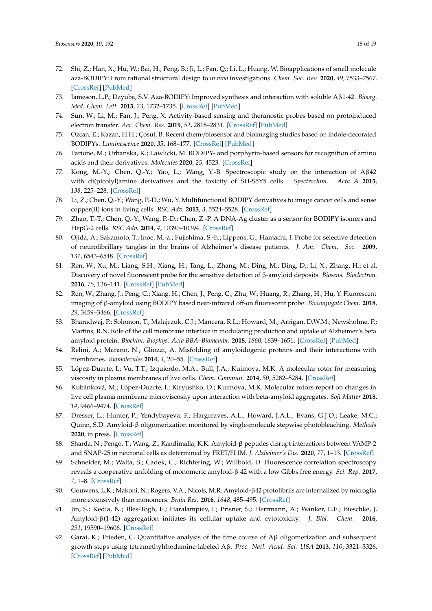- <span id="page-17-0"></span>72. Shi, Z.; Han, X.; Hu, W.; Bai, H.; Peng, B.; Ji, L.; Fan, Q.; Li, L.; Huang, W. Bioapplications of small molecule aza-BODIPY: From rational structural design to *in vivo* investigations. *Chem. Soc. Rev.* **2020**, *49*, 7533–7567. [\[CrossRef\]](http://dx.doi.org/10.1039/D0CS00234H) [\[PubMed\]](http://www.ncbi.nlm.nih.gov/pubmed/32996497)
- <span id="page-17-1"></span>73. Jameson, L.P.; Dzyuba, S.V. Aza-BODIPY: Improved synthesis and interaction with soluble Aβ1-42. *Bioorg. Med. Chem. Lett.* **2013**, *23*, 1732–1735. [\[CrossRef\]](http://dx.doi.org/10.1016/j.bmcl.2013.01.065) [\[PubMed\]](http://www.ncbi.nlm.nih.gov/pubmed/23416005)
- <span id="page-17-2"></span>74. Sun, W.; Li, M.; Fan, J.; Peng, X. Activity-based sensing and theranostic probes based on protoinduced electron transfer. *Acc. Chem. Res.* **2019**, *52*, 2818–2831. [\[CrossRef\]](http://dx.doi.org/10.1021/acs.accounts.9b00340) [\[PubMed\]](http://www.ncbi.nlm.nih.gov/pubmed/31538473)
- 75. Ozcan, E.; Kazan, H.H.; Çosut, B. Recent chem-/biosensor and bioimaging studies based on indole-decorated BODIPYs. *Luminescence* **2020**, *35*, 168–177. [\[CrossRef\]](http://dx.doi.org/10.1002/bio.3719) [\[PubMed\]](http://www.ncbi.nlm.nih.gov/pubmed/31709693)
- <span id="page-17-3"></span>76. Farione, M.; Urbanska, K.; Lawlicki, M. BODIPY- and porphyrin-based sensors for recognition of amino acids and their derivatives. *Molecules* **2020**, *25*, 4523. [\[CrossRef\]](http://dx.doi.org/10.3390/molecules25194523)
- <span id="page-17-4"></span>77. Kong, M.-Y.; Chen, Q.-Y.; Yao, L.; Wang, Y.-B. Spectroscopic study on the interaction of Aβ42 with di(picolyl)amine derivatives and the toxicity of SH-S5Y5 cells. *Spectrochim. Acta A* **2015**, *138*, 225–228. [\[CrossRef\]](http://dx.doi.org/10.1016/j.saa.2014.11.062)
- <span id="page-17-5"></span>78. Li, Z.; Chen, Q.-Y.; Wang, P.-D.; Wu, Y. Multifunctional BODIPY derivatives to image cancer cells and sense copper(II) ions in living cells. *RSC Adv.* **2013**, *3*, 5524–5528. [\[CrossRef\]](http://dx.doi.org/10.1039/c3ra22907f)
- <span id="page-17-6"></span>79. Zhao, T.-T.; Chen, Q.-Y.; Wang, P.-D.; Chen, Z.-P. A DNA-Ag cluster as a sensor for BODIPY isomers and HepG-2 cells. *RSC Adv.* **2014**, *4*, 10390–10394. [\[CrossRef\]](http://dx.doi.org/10.1039/C3RA47151A)
- <span id="page-17-7"></span>80. Ojida, A.; Sakamoto, T.; Inoe, M.-a.; Fujishima, S.-h.; Lippens, G.; Hamachi, I. Probe for selective detection of neurofibrillary tangles in the brains of Alzheimer's disease patients. *J. Am. Chem. Soc.* **2009**, *131*, 6543–6548. [\[CrossRef\]](http://dx.doi.org/10.1021/ja9008369)
- <span id="page-17-8"></span>81. Ren, W.; Xu, M.; Liang, S.H.; Xiang, H.; Tang, L.; Zhang, M.; Ding, M.; Ding, D.; Li, X.; Zhang, H.; et al. Discovery of novel fluorescent probe for the sensitive detection of β-amyloid deposits. *Biosens. Bioelectron.* **2016**, *75*, 136–141. [\[CrossRef\]](http://dx.doi.org/10.1016/j.bios.2015.08.030) [\[PubMed\]](http://www.ncbi.nlm.nih.gov/pubmed/26313423)
- <span id="page-17-9"></span>82. Ren, W.; Zhang, J.; Peng, C.; Xiang, H.; Chen, J.; Peng, C.; Zhu, W.; Huang, R.; Zhang, H.; Hu, Y. Fluorescent imaging of β-amyloid using BODIPY based near-infrared off-on fluorescent probe. *Bioconjugate Chem.* **2018**, *29*, 3459–3466. [\[CrossRef\]](http://dx.doi.org/10.1021/acs.bioconjchem.8b00623)
- <span id="page-17-10"></span>83. Bharadwaj, P.; Solomon, T.; Malajczuk, C.J.; Mancera, R.L.; Howard, M.; Arrigan, D.W.M.; Newsholme, P.; Martins, R.N. Role of the cell membrane interface in modulating production and uptake of Alzheimer's beta amyloid protein. *Biochim. Biophys. Acta BBA–Biomembr.* **2018**, *1860*, 1639–1651. [\[CrossRef\]](http://dx.doi.org/10.1016/j.bbamem.2018.03.015) [\[PubMed\]](http://www.ncbi.nlm.nih.gov/pubmed/29572033)
- <span id="page-17-11"></span>84. Relini, A.; Marano, N.; Gliozzi, A. Misfolding of amyloidogenic proteins and their interactions with membranes. *Biomolecules* **2014**, *4*, 20–55. [\[CrossRef\]](http://dx.doi.org/10.3390/biom4010020)
- <span id="page-17-12"></span>85. López-Duarte, I.; Vu, T.T.; Izquierdo, M.A.; Bull, J.A.; Kuimova, M.K. A molecular rotor for measuring viscosity in plasma membranes of live cells. *Chem. Commun.* **2014**, *50*, 5282–5284. [\[CrossRef\]](http://dx.doi.org/10.1039/C3CC47530A)
- <span id="page-17-13"></span>86. Kubánková, M.; López-Duarte, I.; Kiryushko, D.; Kuimova, M.K. Molecular rotors report on changes in live cell plasma membrane microviscosity upon interaction with beta-amyloid aggregates. *Soft Matter* **2018**, *14*, 9466–9474. [\[CrossRef\]](http://dx.doi.org/10.1039/C8SM01633J)
- <span id="page-17-14"></span>87. Dresser, L.; Hunter, P.; Yendybayeva, F.; Hargreaves, A.L.; Howard, J.A.L.; Evans, G.J.O.; Leake, M.C.; Quinn, S.D. Amyloid-β oligomerization monitored by single-molecule stepwise photobleaching. *Methods* **2020**, in press. [\[CrossRef\]](http://dx.doi.org/10.1016/j.ymeth.2020.06.007)
- 88. Sharda, N.; Pengo, T.; Wang, Z.; Kandimalla, K.K. Amyloid-β peptides disrupt interactions between VAMP-2 and SNAP-25 in neuronal cells as determined by FRET/FLIM. *J. Alzheimer's Dis.* **2020**, *77*, 1–13. [\[CrossRef\]](http://dx.doi.org/10.3233/JAD-200065)
- 89. Schneider, M.; Walta, S.; Cadek, C.; Richtering, W.; Willbold, D. Fluorescence correlation spectroscopy reveals a cooperative unfolding of monomeric amyloid-β 42 with a low Gibbs free energy. *Sci. Rep.* **2017**, *7*, 1–8. [\[CrossRef\]](http://dx.doi.org/10.1038/s41598-017-02410-y)
- 90. Gouwens, L.K.; Makoni, N.; Rogers, V.A.; Nicols, M.R. Amyloid-β42 protofibrils are internalized by microglia more extensively than monomers. *Brain Res.* **2016**, *1648*, 485–495. [\[CrossRef\]](http://dx.doi.org/10.1016/j.brainres.2016.08.016)
- 91. Jin, S.; Kedia, N.; Illes-Togh, E.; Haralampiev, I.; Prisner, S.; Herrmann, A.; Wanker, E.E.; Bieschke, J. Amyloid-β(1-42) aggregation initiates its cellular uptake and cytotoxicity. *J. Biol. Chem.* **2016**, *291*, 19590–19606. [\[CrossRef\]](http://dx.doi.org/10.1074/jbc.M115.691840)
- 92. Garai, K.; Frieden, C. Quantitative analysis of the time course of Aβ oligomerization and subsequent growth steps using tetramethylrhodamine-labeled Aβ. *Proc. Natl. Acad. Sci. USA* **2013**, *110*, 3321–3326. [\[CrossRef\]](http://dx.doi.org/10.1073/pnas.1222478110) [\[PubMed\]](http://www.ncbi.nlm.nih.gov/pubmed/23401512)